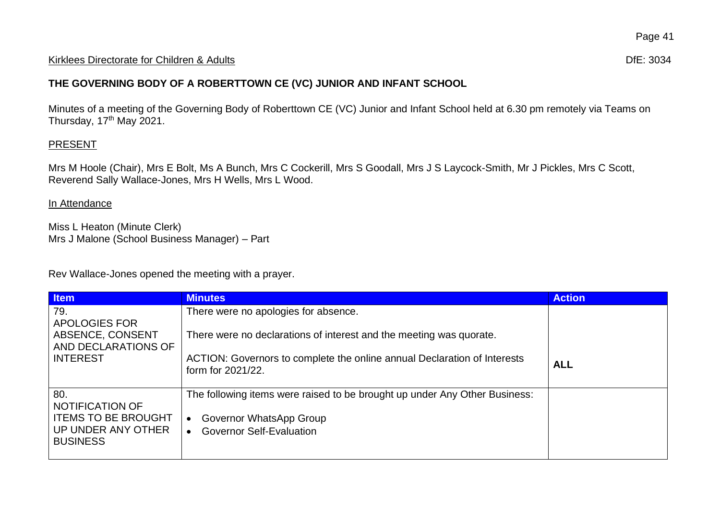## Kirklees Directorate for Children & Adults **Difester Containers** Dife: 3034

## **THE GOVERNING BODY OF A ROBERTTOWN CE (VC) JUNIOR AND INFANT SCHOOL**

Minutes of a meeting of the Governing Body of Roberttown CE (VC) Junior and Infant School held at 6.30 pm remotely via Teams on Thursday,  $17<sup>th</sup>$  May 2021.

## **PRESENT**

Mrs M Hoole (Chair), Mrs E Bolt, Ms A Bunch, Mrs C Cockerill, Mrs S Goodall, Mrs J S Laycock-Smith, Mr J Pickles, Mrs C Scott, Reverend Sally Wallace-Jones, Mrs H Wells, Mrs L Wood.

## In Attendance

Miss L Heaton (Minute Clerk) Mrs J Malone (School Business Manager) – Part

Rev Wallace-Jones opened the meeting with a prayer.

| <b>Item</b>                                              | <b>Minutes</b>                                                                                | <b>Action</b> |
|----------------------------------------------------------|-----------------------------------------------------------------------------------------------|---------------|
| 79.                                                      | There were no apologies for absence.                                                          |               |
| APOLOGIES FOR<br>ABSENCE, CONSENT<br>AND DECLARATIONS OF | There were no declarations of interest and the meeting was quorate.                           |               |
| <b>INTEREST</b>                                          | ACTION: Governors to complete the online annual Declaration of Interests<br>form for 2021/22. | <b>ALL</b>    |
| 80.                                                      | The following items were raised to be brought up under Any Other Business:                    |               |
| NOTIFICATION OF<br><b>ITEMS TO BE BROUGHT</b>            | Governor WhatsApp Group                                                                       |               |
| UP UNDER ANY OTHER<br><b>BUSINESS</b>                    | <b>Governor Self-Evaluation</b>                                                               |               |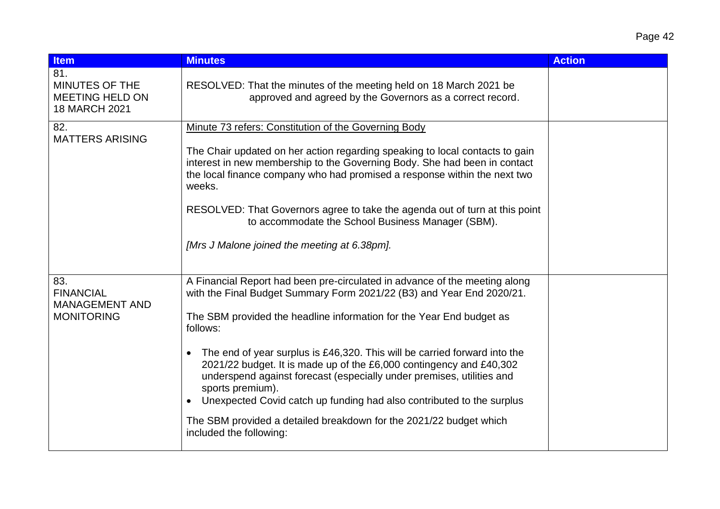| <b>Item</b>                                                             | <b>Minutes</b>                                                                                                                                                                                                                                                                                                                                                                                                                                                                                                                                                                                                                                                     | <b>Action</b> |
|-------------------------------------------------------------------------|--------------------------------------------------------------------------------------------------------------------------------------------------------------------------------------------------------------------------------------------------------------------------------------------------------------------------------------------------------------------------------------------------------------------------------------------------------------------------------------------------------------------------------------------------------------------------------------------------------------------------------------------------------------------|---------------|
| 81.<br><b>MINUTES OF THE</b><br><b>MEETING HELD ON</b><br>18 MARCH 2021 | RESOLVED: That the minutes of the meeting held on 18 March 2021 be<br>approved and agreed by the Governors as a correct record.                                                                                                                                                                                                                                                                                                                                                                                                                                                                                                                                    |               |
| 82.<br><b>MATTERS ARISING</b>                                           | Minute 73 refers: Constitution of the Governing Body<br>The Chair updated on her action regarding speaking to local contacts to gain<br>interest in new membership to the Governing Body. She had been in contact<br>the local finance company who had promised a response within the next two<br>weeks.<br>RESOLVED: That Governors agree to take the agenda out of turn at this point<br>to accommodate the School Business Manager (SBM).<br>[Mrs J Malone joined the meeting at 6.38pm].                                                                                                                                                                       |               |
| 83.<br><b>FINANCIAL</b><br><b>MANAGEMENT AND</b><br><b>MONITORING</b>   | A Financial Report had been pre-circulated in advance of the meeting along<br>with the Final Budget Summary Form 2021/22 (B3) and Year End 2020/21.<br>The SBM provided the headline information for the Year End budget as<br>follows:<br>The end of year surplus is £46,320. This will be carried forward into the<br>2021/22 budget. It is made up of the £6,000 contingency and £40,302<br>underspend against forecast (especially under premises, utilities and<br>sports premium).<br>Unexpected Covid catch up funding had also contributed to the surplus<br>The SBM provided a detailed breakdown for the 2021/22 budget which<br>included the following: |               |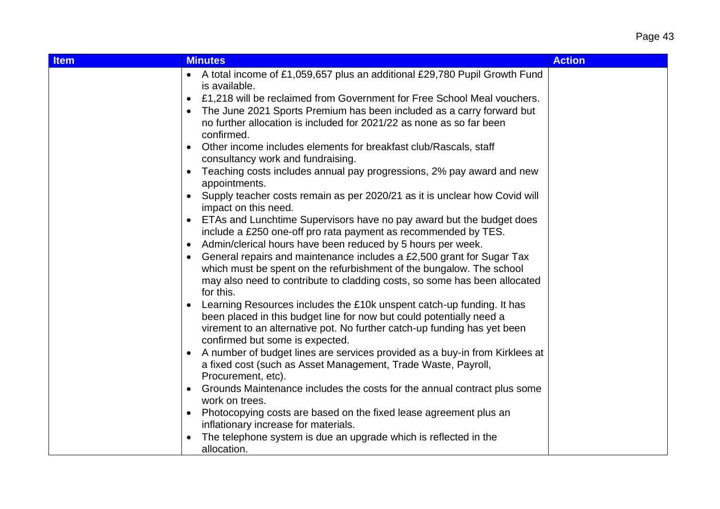| <b>Item</b> | <b>Minutes</b>                                                                                                                                             | <b>Action</b> |
|-------------|------------------------------------------------------------------------------------------------------------------------------------------------------------|---------------|
|             | • A total income of £1,059,657 plus an additional £29,780 Pupil Growth Fund<br>is available.                                                               |               |
|             | £1,218 will be reclaimed from Government for Free School Meal vouchers.<br>$\bullet$                                                                       |               |
|             | The June 2021 Sports Premium has been included as a carry forward but                                                                                      |               |
|             | no further allocation is included for 2021/22 as none as so far been<br>confirmed.                                                                         |               |
|             | Other income includes elements for breakfast club/Rascals, staff<br>$\bullet$<br>consultancy work and fundraising.                                         |               |
|             | Teaching costs includes annual pay progressions, 2% pay award and new<br>appointments.                                                                     |               |
|             | Supply teacher costs remain as per 2020/21 as it is unclear how Covid will<br>$\bullet$<br>impact on this need.                                            |               |
|             | ETAs and Lunchtime Supervisors have no pay award but the budget does<br>include a £250 one-off pro rata payment as recommended by TES.                     |               |
|             | Admin/clerical hours have been reduced by 5 hours per week.<br>$\bullet$                                                                                   |               |
|             | General repairs and maintenance includes a £2,500 grant for Sugar Tax<br>$\bullet$<br>which must be spent on the refurbishment of the bungalow. The school |               |
|             | may also need to contribute to cladding costs, so some has been allocated<br>for this.                                                                     |               |
|             | Learning Resources includes the £10k unspent catch-up funding. It has                                                                                      |               |
|             | been placed in this budget line for now but could potentially need a                                                                                       |               |
|             | virement to an alternative pot. No further catch-up funding has yet been<br>confirmed but some is expected.                                                |               |
|             | A number of budget lines are services provided as a buy-in from Kirklees at                                                                                |               |
|             | a fixed cost (such as Asset Management, Trade Waste, Payroll,<br>Procurement, etc).                                                                        |               |
|             | Grounds Maintenance includes the costs for the annual contract plus some<br>work on trees.                                                                 |               |
|             | Photocopying costs are based on the fixed lease agreement plus an                                                                                          |               |
|             | inflationary increase for materials.                                                                                                                       |               |
|             | The telephone system is due an upgrade which is reflected in the<br>allocation.                                                                            |               |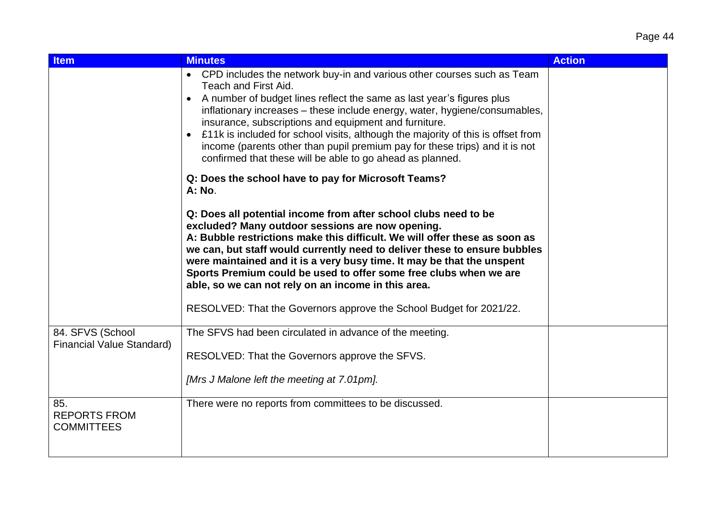| <b>Item</b>                                          | <b>Minutes</b>                                                                                                                                                                                                                                                                                                                                                                                                                                                                                                                                                             | <b>Action</b> |
|------------------------------------------------------|----------------------------------------------------------------------------------------------------------------------------------------------------------------------------------------------------------------------------------------------------------------------------------------------------------------------------------------------------------------------------------------------------------------------------------------------------------------------------------------------------------------------------------------------------------------------------|---------------|
|                                                      | • CPD includes the network buy-in and various other courses such as Team<br>Teach and First Aid.<br>A number of budget lines reflect the same as last year's figures plus<br>$\bullet$<br>inflationary increases - these include energy, water, hygiene/consumables,<br>insurance, subscriptions and equipment and furniture.<br>£11k is included for school visits, although the majority of this is offset from<br>$\bullet$<br>income (parents other than pupil premium pay for these trips) and it is not<br>confirmed that these will be able to go ahead as planned. |               |
|                                                      | Q: Does the school have to pay for Microsoft Teams?<br>A: No.                                                                                                                                                                                                                                                                                                                                                                                                                                                                                                              |               |
|                                                      | Q: Does all potential income from after school clubs need to be<br>excluded? Many outdoor sessions are now opening.<br>A: Bubble restrictions make this difficult. We will offer these as soon as<br>we can, but staff would currently need to deliver these to ensure bubbles<br>were maintained and it is a very busy time. It may be that the unspent<br>Sports Premium could be used to offer some free clubs when we are<br>able, so we can not rely on an income in this area.<br>RESOLVED: That the Governors approve the School Budget for 2021/22.                |               |
| 84. SFVS (School<br><b>Financial Value Standard)</b> | The SFVS had been circulated in advance of the meeting.                                                                                                                                                                                                                                                                                                                                                                                                                                                                                                                    |               |
|                                                      | RESOLVED: That the Governors approve the SFVS.<br>[Mrs J Malone left the meeting at 7.01pm].                                                                                                                                                                                                                                                                                                                                                                                                                                                                               |               |
| 85.<br><b>REPORTS FROM</b><br><b>COMMITTEES</b>      | There were no reports from committees to be discussed.                                                                                                                                                                                                                                                                                                                                                                                                                                                                                                                     |               |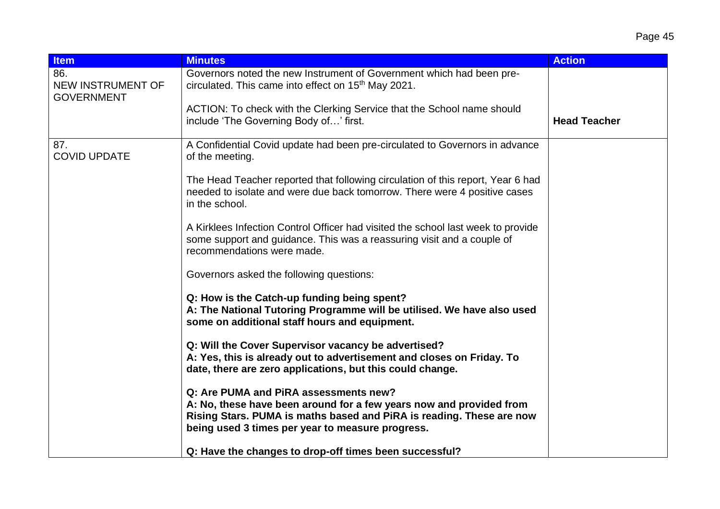| <b>Item</b>                                   | <b>Minutes</b>                                                                                                                                                                                                                           | <b>Action</b>       |
|-----------------------------------------------|------------------------------------------------------------------------------------------------------------------------------------------------------------------------------------------------------------------------------------------|---------------------|
| 86.<br>NEW INSTRUMENT OF<br><b>GOVERNMENT</b> | Governors noted the new Instrument of Government which had been pre-<br>circulated. This came into effect on 15 <sup>th</sup> May 2021.                                                                                                  |                     |
|                                               | ACTION: To check with the Clerking Service that the School name should<br>include 'The Governing Body of' first.                                                                                                                         | <b>Head Teacher</b> |
| 87.<br><b>COVID UPDATE</b>                    | A Confidential Covid update had been pre-circulated to Governors in advance<br>of the meeting.                                                                                                                                           |                     |
|                                               | The Head Teacher reported that following circulation of this report, Year 6 had<br>needed to isolate and were due back tomorrow. There were 4 positive cases<br>in the school.                                                           |                     |
|                                               | A Kirklees Infection Control Officer had visited the school last week to provide<br>some support and guidance. This was a reassuring visit and a couple of<br>recommendations were made.                                                 |                     |
|                                               | Governors asked the following questions:                                                                                                                                                                                                 |                     |
|                                               | Q: How is the Catch-up funding being spent?<br>A: The National Tutoring Programme will be utilised. We have also used<br>some on additional staff hours and equipment.                                                                   |                     |
|                                               | Q: Will the Cover Supervisor vacancy be advertised?<br>A: Yes, this is already out to advertisement and closes on Friday. To<br>date, there are zero applications, but this could change.                                                |                     |
|                                               | Q: Are PUMA and PiRA assessments new?<br>A: No, these have been around for a few years now and provided from<br>Rising Stars. PUMA is maths based and PiRA is reading. These are now<br>being used 3 times per year to measure progress. |                     |
|                                               | Q: Have the changes to drop-off times been successful?                                                                                                                                                                                   |                     |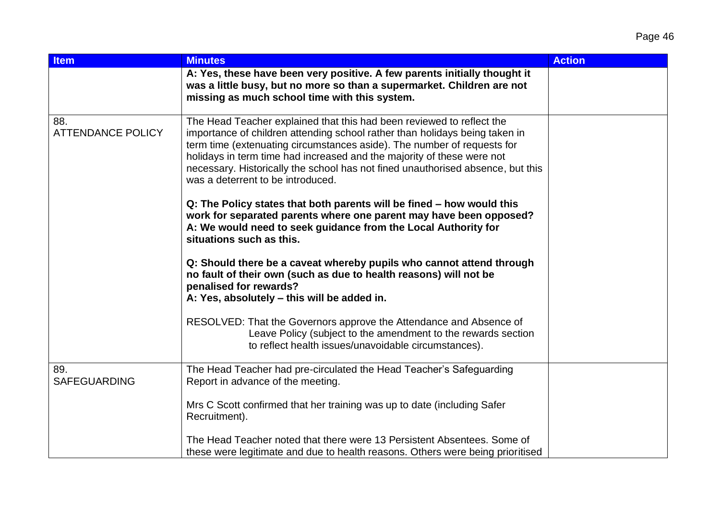| <b>Item</b>                     | <b>Minutes</b>                                                                                                                                                                                                                                                                                                                                                                                                                    | <b>Action</b> |
|---------------------------------|-----------------------------------------------------------------------------------------------------------------------------------------------------------------------------------------------------------------------------------------------------------------------------------------------------------------------------------------------------------------------------------------------------------------------------------|---------------|
|                                 | A: Yes, these have been very positive. A few parents initially thought it<br>was a little busy, but no more so than a supermarket. Children are not<br>missing as much school time with this system.                                                                                                                                                                                                                              |               |
| 88.<br><b>ATTENDANCE POLICY</b> | The Head Teacher explained that this had been reviewed to reflect the<br>importance of children attending school rather than holidays being taken in<br>term time (extenuating circumstances aside). The number of requests for<br>holidays in term time had increased and the majority of these were not<br>necessary. Historically the school has not fined unauthorised absence, but this<br>was a deterrent to be introduced. |               |
|                                 | Q: The Policy states that both parents will be fined - how would this<br>work for separated parents where one parent may have been opposed?<br>A: We would need to seek guidance from the Local Authority for<br>situations such as this.                                                                                                                                                                                         |               |
|                                 | Q: Should there be a caveat whereby pupils who cannot attend through<br>no fault of their own (such as due to health reasons) will not be<br>penalised for rewards?<br>A: Yes, absolutely - this will be added in.                                                                                                                                                                                                                |               |
|                                 | RESOLVED: That the Governors approve the Attendance and Absence of<br>Leave Policy (subject to the amendment to the rewards section<br>to reflect health issues/unavoidable circumstances).                                                                                                                                                                                                                                       |               |
| 89.<br><b>SAFEGUARDING</b>      | The Head Teacher had pre-circulated the Head Teacher's Safeguarding<br>Report in advance of the meeting.                                                                                                                                                                                                                                                                                                                          |               |
|                                 | Mrs C Scott confirmed that her training was up to date (including Safer<br>Recruitment).                                                                                                                                                                                                                                                                                                                                          |               |
|                                 | The Head Teacher noted that there were 13 Persistent Absentees. Some of<br>these were legitimate and due to health reasons. Others were being prioritised                                                                                                                                                                                                                                                                         |               |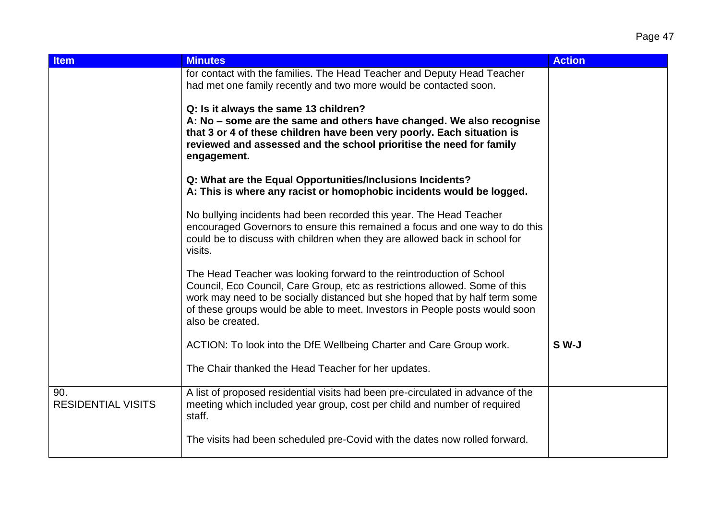| <b>Item</b>                      | <b>Minutes</b>                                                                                                                                                                                                                                                                                                                        | <b>Action</b> |
|----------------------------------|---------------------------------------------------------------------------------------------------------------------------------------------------------------------------------------------------------------------------------------------------------------------------------------------------------------------------------------|---------------|
|                                  | for contact with the families. The Head Teacher and Deputy Head Teacher<br>had met one family recently and two more would be contacted soon.                                                                                                                                                                                          |               |
|                                  | Q: Is it always the same 13 children?<br>A: No – some are the same and others have changed. We also recognise<br>that 3 or 4 of these children have been very poorly. Each situation is<br>reviewed and assessed and the school prioritise the need for family<br>engagement.                                                         |               |
|                                  | Q: What are the Equal Opportunities/Inclusions Incidents?<br>A: This is where any racist or homophobic incidents would be logged.                                                                                                                                                                                                     |               |
|                                  | No bullying incidents had been recorded this year. The Head Teacher<br>encouraged Governors to ensure this remained a focus and one way to do this<br>could be to discuss with children when they are allowed back in school for<br>visits.                                                                                           |               |
|                                  | The Head Teacher was looking forward to the reintroduction of School<br>Council, Eco Council, Care Group, etc as restrictions allowed. Some of this<br>work may need to be socially distanced but she hoped that by half term some<br>of these groups would be able to meet. Investors in People posts would soon<br>also be created. |               |
|                                  | ACTION: To look into the DfE Wellbeing Charter and Care Group work.                                                                                                                                                                                                                                                                   | S W-J         |
|                                  | The Chair thanked the Head Teacher for her updates.                                                                                                                                                                                                                                                                                   |               |
| 90.<br><b>RESIDENTIAL VISITS</b> | A list of proposed residential visits had been pre-circulated in advance of the<br>meeting which included year group, cost per child and number of required<br>staff.                                                                                                                                                                 |               |
|                                  | The visits had been scheduled pre-Covid with the dates now rolled forward.                                                                                                                                                                                                                                                            |               |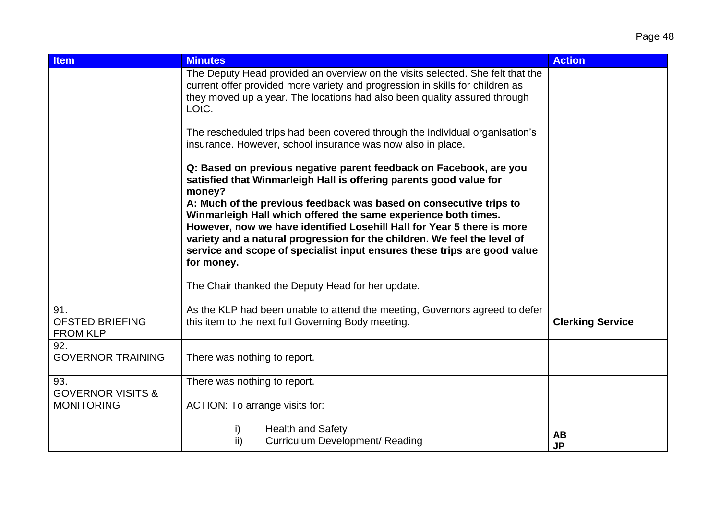| <b>Item</b>                                       | <b>Minutes</b>                                                                                                                                                                                                                                                                                                                                                                                                                                                                                                                                                                                  | <b>Action</b>           |
|---------------------------------------------------|-------------------------------------------------------------------------------------------------------------------------------------------------------------------------------------------------------------------------------------------------------------------------------------------------------------------------------------------------------------------------------------------------------------------------------------------------------------------------------------------------------------------------------------------------------------------------------------------------|-------------------------|
|                                                   | The Deputy Head provided an overview on the visits selected. She felt that the<br>current offer provided more variety and progression in skills for children as<br>they moved up a year. The locations had also been quality assured through<br>LOtC.                                                                                                                                                                                                                                                                                                                                           |                         |
|                                                   | The rescheduled trips had been covered through the individual organisation's<br>insurance. However, school insurance was now also in place.                                                                                                                                                                                                                                                                                                                                                                                                                                                     |                         |
|                                                   | Q: Based on previous negative parent feedback on Facebook, are you<br>satisfied that Winmarleigh Hall is offering parents good value for<br>money?<br>A: Much of the previous feedback was based on consecutive trips to<br>Winmarleigh Hall which offered the same experience both times.<br>However, now we have identified Losehill Hall for Year 5 there is more<br>variety and a natural progression for the children. We feel the level of<br>service and scope of specialist input ensures these trips are good value<br>for money.<br>The Chair thanked the Deputy Head for her update. |                         |
|                                                   |                                                                                                                                                                                                                                                                                                                                                                                                                                                                                                                                                                                                 |                         |
| 91.<br><b>OFSTED BRIEFING</b><br><b>FROM KLP</b>  | As the KLP had been unable to attend the meeting, Governors agreed to defer<br>this item to the next full Governing Body meeting.                                                                                                                                                                                                                                                                                                                                                                                                                                                               | <b>Clerking Service</b> |
| 92.<br><b>GOVERNOR TRAINING</b>                   | There was nothing to report.                                                                                                                                                                                                                                                                                                                                                                                                                                                                                                                                                                    |                         |
| 93.                                               | There was nothing to report.                                                                                                                                                                                                                                                                                                                                                                                                                                                                                                                                                                    |                         |
| <b>GOVERNOR VISITS &amp;</b><br><b>MONITORING</b> | ACTION: To arrange visits for:                                                                                                                                                                                                                                                                                                                                                                                                                                                                                                                                                                  |                         |
|                                                   | <b>Health and Safety</b><br>i)<br>ii)<br>Curriculum Development/ Reading                                                                                                                                                                                                                                                                                                                                                                                                                                                                                                                        | <b>AB</b><br><b>JP</b>  |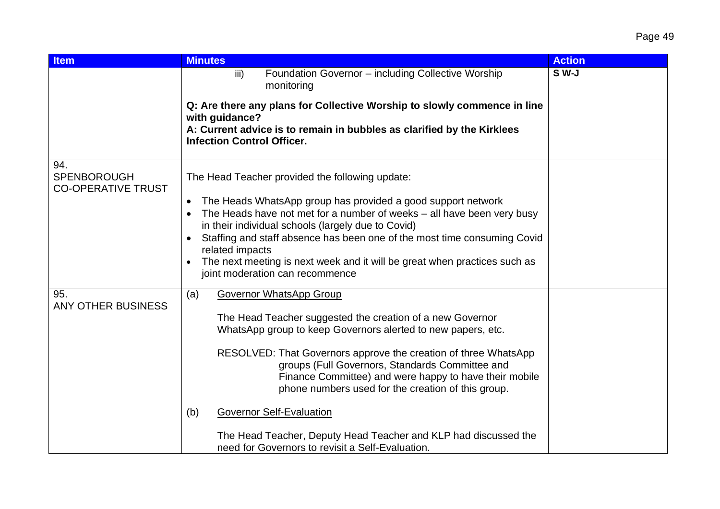| <b>Item</b>                                            | <b>Minutes</b>                                                                                                                                                                                                                     | <b>Action</b> |
|--------------------------------------------------------|------------------------------------------------------------------------------------------------------------------------------------------------------------------------------------------------------------------------------------|---------------|
|                                                        | Foundation Governor - including Collective Worship<br>iii)<br>monitoring<br>Q: Are there any plans for Collective Worship to slowly commence in line                                                                               | $S$ W-J       |
|                                                        | with guidance?<br>A: Current advice is to remain in bubbles as clarified by the Kirklees<br><b>Infection Control Officer.</b>                                                                                                      |               |
| 94.<br><b>SPENBOROUGH</b><br><b>CO-OPERATIVE TRUST</b> | The Head Teacher provided the following update:<br>The Heads WhatsApp group has provided a good support network                                                                                                                    |               |
|                                                        | The Heads have not met for a number of weeks $-$ all have been very busy<br>in their individual schools (largely due to Covid)                                                                                                     |               |
|                                                        | Staffing and staff absence has been one of the most time consuming Covid<br>related impacts                                                                                                                                        |               |
|                                                        | The next meeting is next week and it will be great when practices such as<br>joint moderation can recommence                                                                                                                       |               |
| 95.<br><b>ANY OTHER BUSINESS</b>                       | <b>Governor WhatsApp Group</b><br>(a)                                                                                                                                                                                              |               |
|                                                        | The Head Teacher suggested the creation of a new Governor<br>WhatsApp group to keep Governors alerted to new papers, etc.                                                                                                          |               |
|                                                        | RESOLVED: That Governors approve the creation of three WhatsApp<br>groups (Full Governors, Standards Committee and<br>Finance Committee) and were happy to have their mobile<br>phone numbers used for the creation of this group. |               |
|                                                        | <b>Governor Self-Evaluation</b><br>(b)                                                                                                                                                                                             |               |
|                                                        | The Head Teacher, Deputy Head Teacher and KLP had discussed the<br>need for Governors to revisit a Self-Evaluation.                                                                                                                |               |